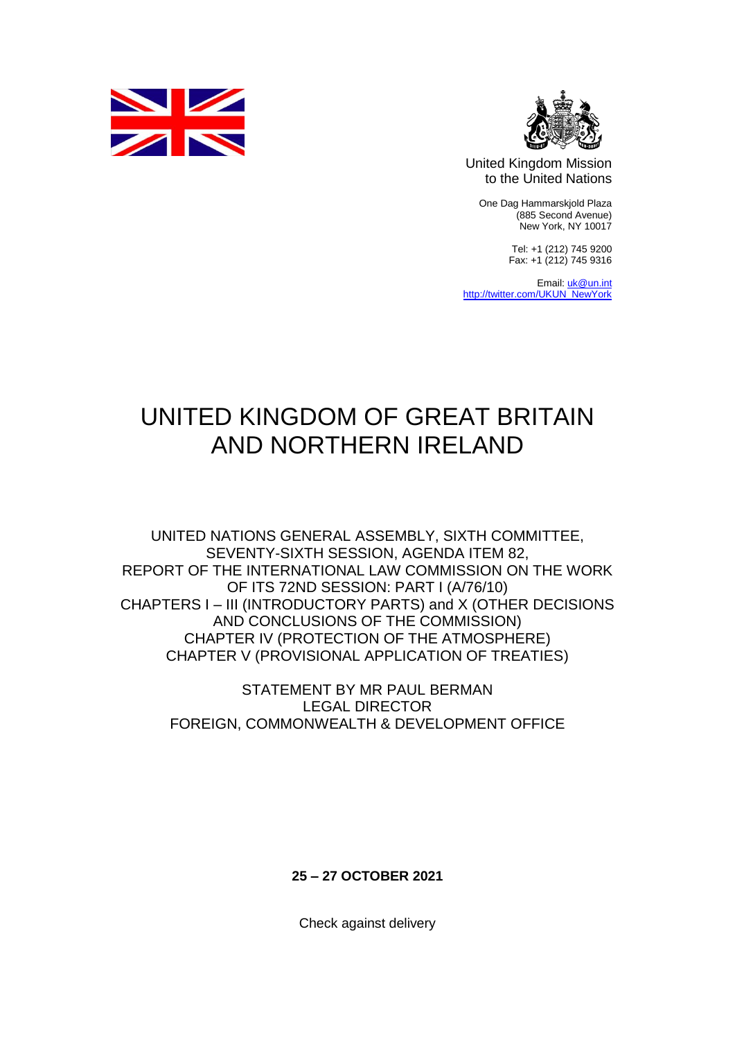



United Kingdom Mission to the United Nations

One Dag Hammarskjold Plaza (885 Second Avenue) New York, NY 10017

> Tel: +1 (212) 745 9200 Fax: +1 (212) 745 9316

Email[: uk@un.int](mailto:uk@un.int) [http://twitter.com/UKUN\\_NewYork](http://twitter.com/UKUN_NewYork)

## UNITED KINGDOM OF GREAT BRITAIN AND NORTHERN IRELAND

UNITED NATIONS GENERAL ASSEMBLY, SIXTH COMMITTEE, SEVENTY-SIXTH SESSION, AGENDA ITEM 82, REPORT OF THE INTERNATIONAL LAW COMMISSION ON THE WORK OF ITS 72ND SESSION: PART I (A/76/10) CHAPTERS I – III (INTRODUCTORY PARTS) and X (OTHER DECISIONS AND CONCLUSIONS OF THE COMMISSION) CHAPTER IV (PROTECTION OF THE ATMOSPHERE) CHAPTER V (PROVISIONAL APPLICATION OF TREATIES)

STATEMENT BY MR PAUL BERMAN LEGAL DIRECTOR FOREIGN, COMMONWEALTH & DEVELOPMENT OFFICE

**25 – 27 OCTOBER 2021**

Check against delivery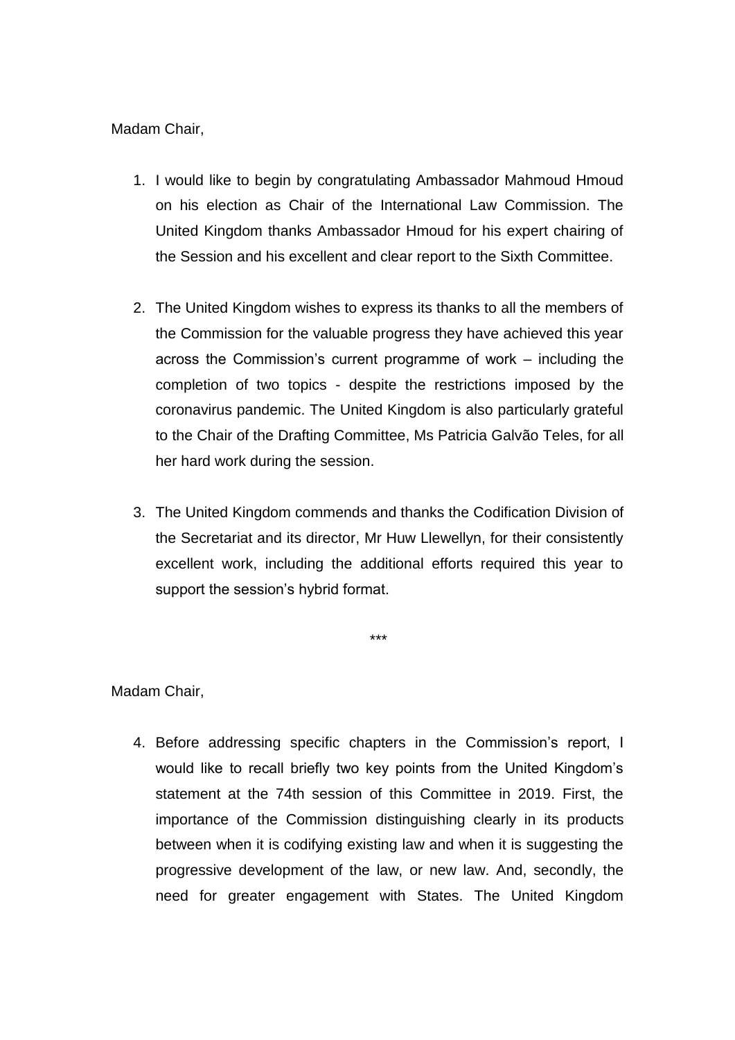## Madam Chair,

- 1. I would like to begin by congratulating Ambassador Mahmoud Hmoud on his election as Chair of the International Law Commission. The United Kingdom thanks Ambassador Hmoud for his expert chairing of the Session and his excellent and clear report to the Sixth Committee.
- 2. The United Kingdom wishes to express its thanks to all the members of the Commission for the valuable progress they have achieved this year across the Commission's current programme of work – including the completion of two topics - despite the restrictions imposed by the coronavirus pandemic. The United Kingdom is also particularly grateful to the Chair of the Drafting Committee, Ms Patricia Galvão Teles, for all her hard work during the session.
- 3. The United Kingdom commends and thanks the Codification Division of the Secretariat and its director, Mr Huw Llewellyn, for their consistently excellent work, including the additional efforts required this year to support the session's hybrid format.

\*\*\*

Madam Chair,

4. Before addressing specific chapters in the Commission's report, I would like to recall briefly two key points from the United Kingdom's statement at the 74th session of this Committee in 2019. First, the importance of the Commission distinguishing clearly in its products between when it is codifying existing law and when it is suggesting the progressive development of the law, or new law. And, secondly, the need for greater engagement with States. The United Kingdom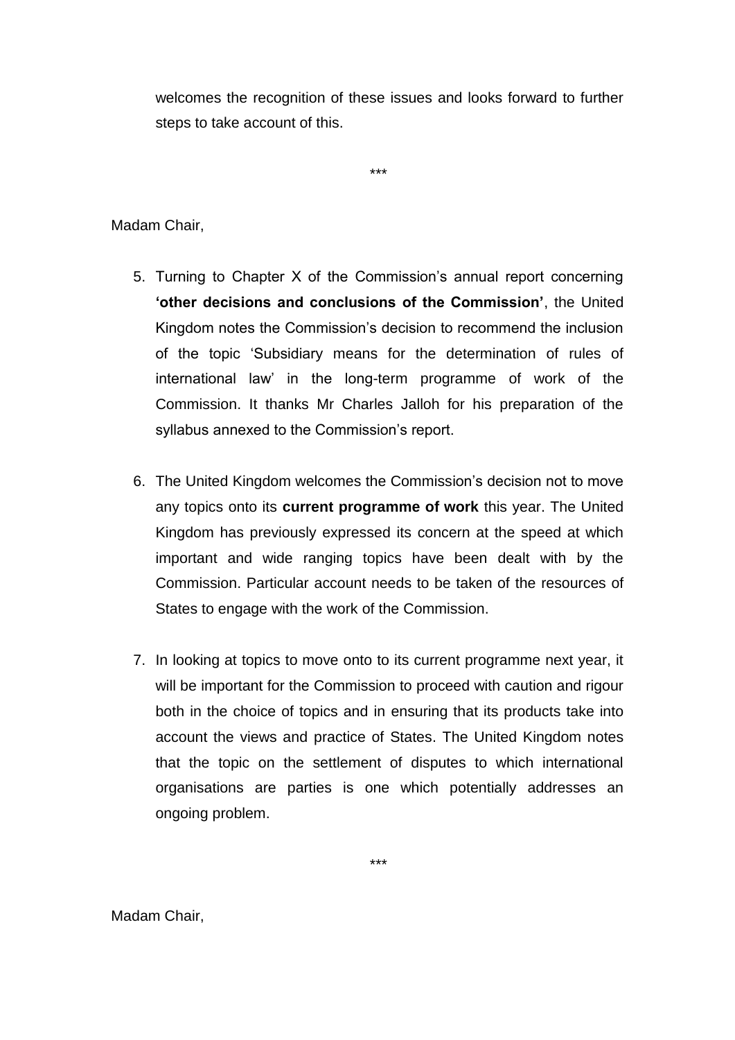welcomes the recognition of these issues and looks forward to further steps to take account of this.

\*\*\*

Madam Chair,

- 5. Turning to Chapter X of the Commission's annual report concerning **'other decisions and conclusions of the Commission'**, the United Kingdom notes the Commission's decision to recommend the inclusion of the topic 'Subsidiary means for the determination of rules of international law' in the long-term programme of work of the Commission. It thanks Mr Charles Jalloh for his preparation of the syllabus annexed to the Commission's report.
- 6. The United Kingdom welcomes the Commission's decision not to move any topics onto its **current programme of work** this year. The United Kingdom has previously expressed its concern at the speed at which important and wide ranging topics have been dealt with by the Commission. Particular account needs to be taken of the resources of States to engage with the work of the Commission.
- 7. In looking at topics to move onto to its current programme next year, it will be important for the Commission to proceed with caution and rigour both in the choice of topics and in ensuring that its products take into account the views and practice of States. The United Kingdom notes that the topic on the settlement of disputes to which international organisations are parties is one which potentially addresses an ongoing problem.

Madam Chair,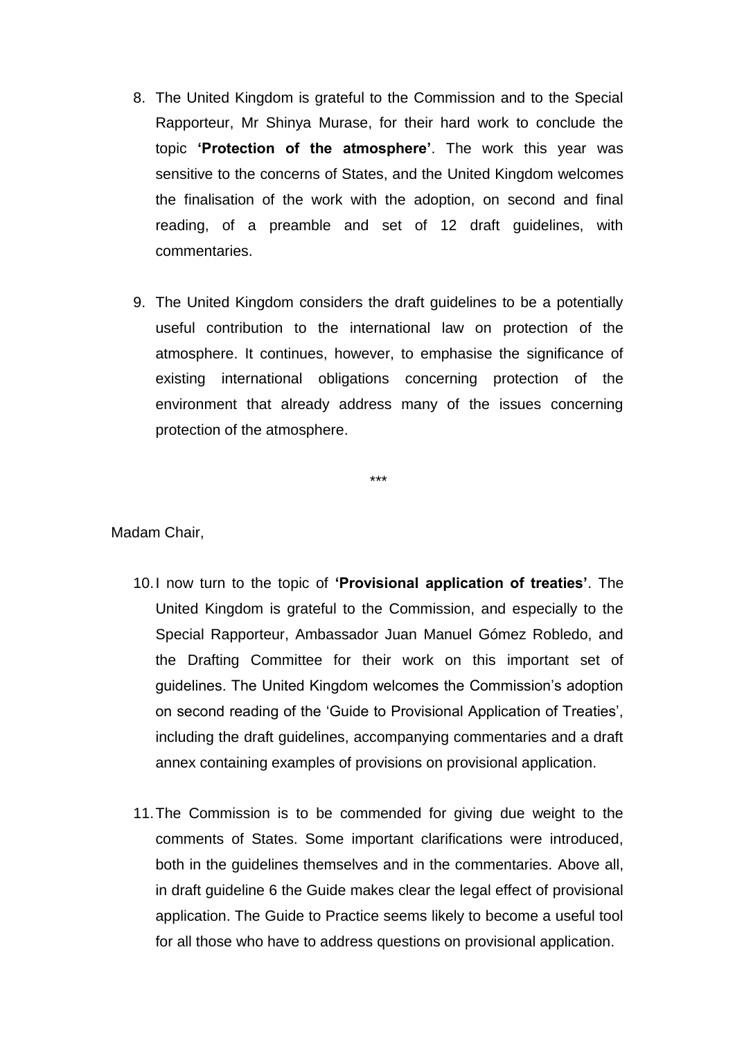- 8. The United Kingdom is grateful to the Commission and to the Special Rapporteur, Mr Shinya Murase, for their hard work to conclude the topic **'Protection of the atmosphere'**. The work this year was sensitive to the concerns of States, and the United Kingdom welcomes the finalisation of the work with the adoption, on second and final reading, of a preamble and set of 12 draft guidelines, with commentaries.
- 9. The United Kingdom considers the draft guidelines to be a potentially useful contribution to the international law on protection of the atmosphere. It continues, however, to emphasise the significance of existing international obligations concerning protection of the environment that already address many of the issues concerning protection of the atmosphere.

\*\*\*

Madam Chair,

- 10.I now turn to the topic of **'Provisional application of treaties'**. The United Kingdom is grateful to the Commission, and especially to the Special Rapporteur, Ambassador Juan Manuel Gómez Robledo, and the Drafting Committee for their work on this important set of guidelines. The United Kingdom welcomes the Commission's adoption on second reading of the 'Guide to Provisional Application of Treaties', including the draft guidelines, accompanying commentaries and a draft annex containing examples of provisions on provisional application.
- 11.The Commission is to be commended for giving due weight to the comments of States. Some important clarifications were introduced, both in the guidelines themselves and in the commentaries. Above all, in draft guideline 6 the Guide makes clear the legal effect of provisional application. The Guide to Practice seems likely to become a useful tool for all those who have to address questions on provisional application.